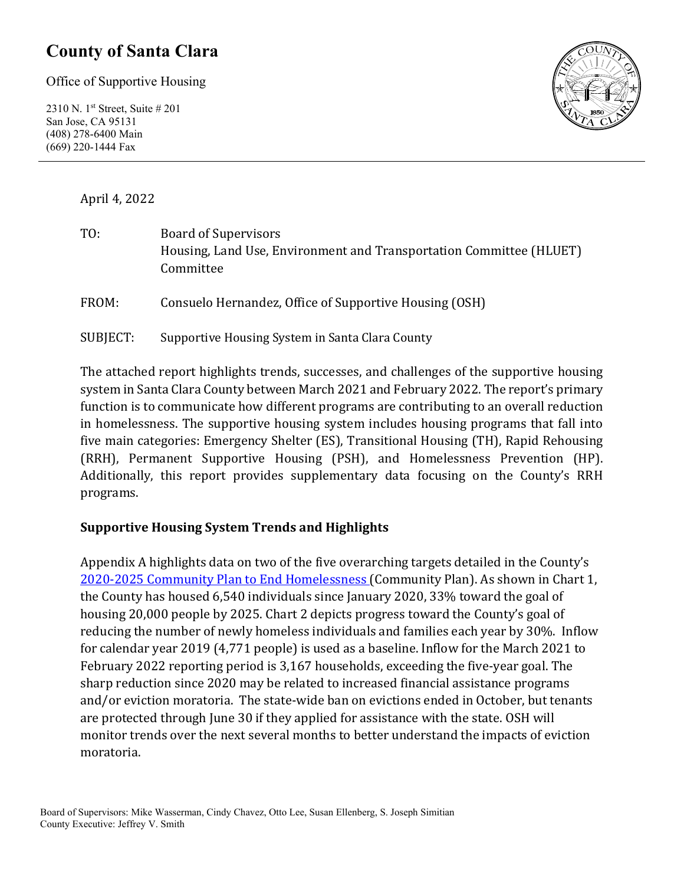## **County of Santa Clara**

Office of Supportive Housing

2310 N. 1st Street, Suite # 201 San Jose, CA 95131 (408) 278-6400 Main (669) 220-1444 Fax



April 4, 2022

| TO:      | <b>Board of Supervisors</b><br>Housing, Land Use, Environment and Transportation Committee (HLUET)<br>Committee |
|----------|-----------------------------------------------------------------------------------------------------------------|
| FROM:    | Consuelo Hernandez, Office of Supportive Housing (OSH)                                                          |
| SUBJECT: | Supportive Housing System in Santa Clara County                                                                 |

The attached report highlights trends, successes, and challenges of the supportive housing system in Santa Clara County between March 2021 and February 2022. The report's primary function is to communicate how different programs are contributing to an overall reduction in homelessness. The supportive housing system includes housing programs that fall into five main categories: Emergency Shelter (ES), Transitional Housing (TH), Rapid Rehousing (RRH), Permanent Supportive Housing (PSH), and Homelessness Prevention (HP). Additionally, this report provides supplementary data focusing on the County's RRH programs.

### **Supportive Housing System Trends and Highlights**

Appendix A highlights data on two of the five overarching targets detailed in the County's [2020-2025 Community Plan to End Homelessness](https://www.sccgov.org/sites/yes/takeaction/Pages/2020-Santa-Clara-County-Community-Plan-to-End-Homelessness-.aspx) (Community Plan). As shown in Chart 1, the County has housed 6,540 individuals since January 2020, 33% toward the goal of housing 20,000 people by 2025. Chart 2 depicts progress toward the County's goal of reducing the number of newly homeless individuals and families each year by 30%. Inflow for calendar year 2019 (4,771 people) is used as a baseline. Inflow for the March 2021 to February 2022 reporting period is 3,167 households, exceeding the five-year goal. The sharp reduction since 2020 may be related to increased financial assistance programs and/or eviction moratoria. The state-wide ban on evictions ended in October, but tenants are protected through June 30 if they applied for assistance with the state. OSH will monitor trends over the next several months to better understand the impacts of eviction moratoria.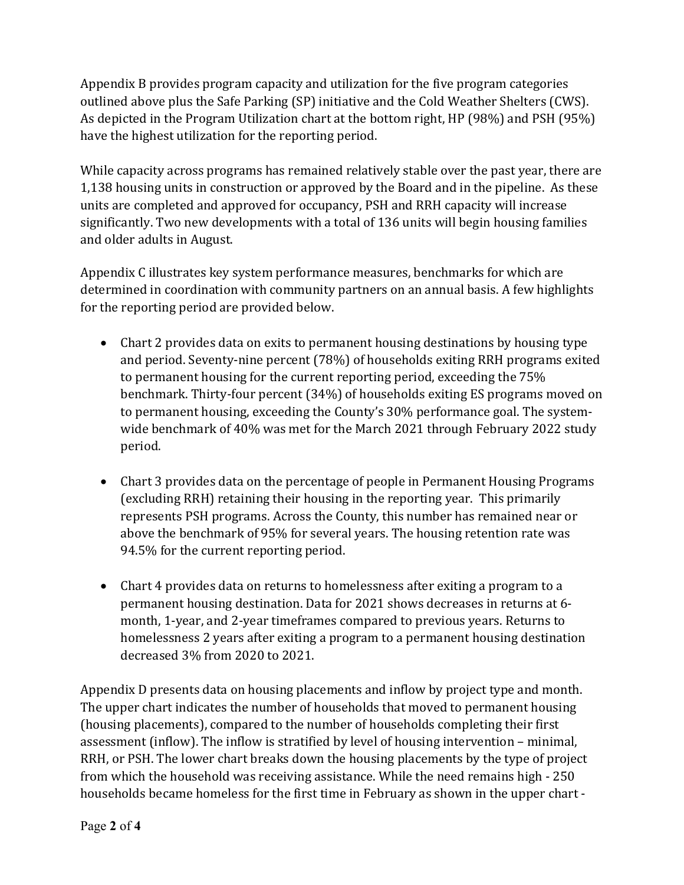Appendix B provides program capacity and utilization for the five program categories outlined above plus the Safe Parking (SP) initiative and the Cold Weather Shelters (CWS). As depicted in the Program Utilization chart at the bottom right, HP (98%) and PSH (95%) have the highest utilization for the reporting period.

While capacity across programs has remained relatively stable over the past year, there are 1,138 housing units in construction or approved by the Board and in the pipeline. As these units are completed and approved for occupancy, PSH and RRH capacity will increase significantly. Two new developments with a total of 136 units will begin housing families and older adults in August.

Appendix C illustrates key system performance measures, benchmarks for which are determined in coordination with community partners on an annual basis. A few highlights for the reporting period are provided below.

- Chart 2 provides data on exits to permanent housing destinations by housing type and period. Seventy-nine percent (78%) of households exiting RRH programs exited to permanent housing for the current reporting period, exceeding the 75% benchmark. Thirty-four percent (34%) of households exiting ES programs moved on to permanent housing, exceeding the County's 30% performance goal. The systemwide benchmark of 40% was met for the March 2021 through February 2022 study period.
- Chart 3 provides data on the percentage of people in Permanent Housing Programs (excluding RRH) retaining their housing in the reporting year. This primarily represents PSH programs. Across the County, this number has remained near or above the benchmark of 95% for several years. The housing retention rate was 94.5% for the current reporting period.
- Chart 4 provides data on returns to homelessness after exiting a program to a permanent housing destination. Data for 2021 shows decreases in returns at 6 month, 1-year, and 2-year timeframes compared to previous years. Returns to homelessness 2 years after exiting a program to a permanent housing destination decreased 3% from 2020 to 2021.

Appendix D presents data on housing placements and inflow by project type and month. The upper chart indicates the number of households that moved to permanent housing (housing placements), compared to the number of households completing their first assessment (inflow). The inflow is stratified by level of housing intervention – minimal, RRH, or PSH. The lower chart breaks down the housing placements by the type of project from which the household was receiving assistance. While the need remains high - 250 households became homeless for the first time in February as shown in the upper chart -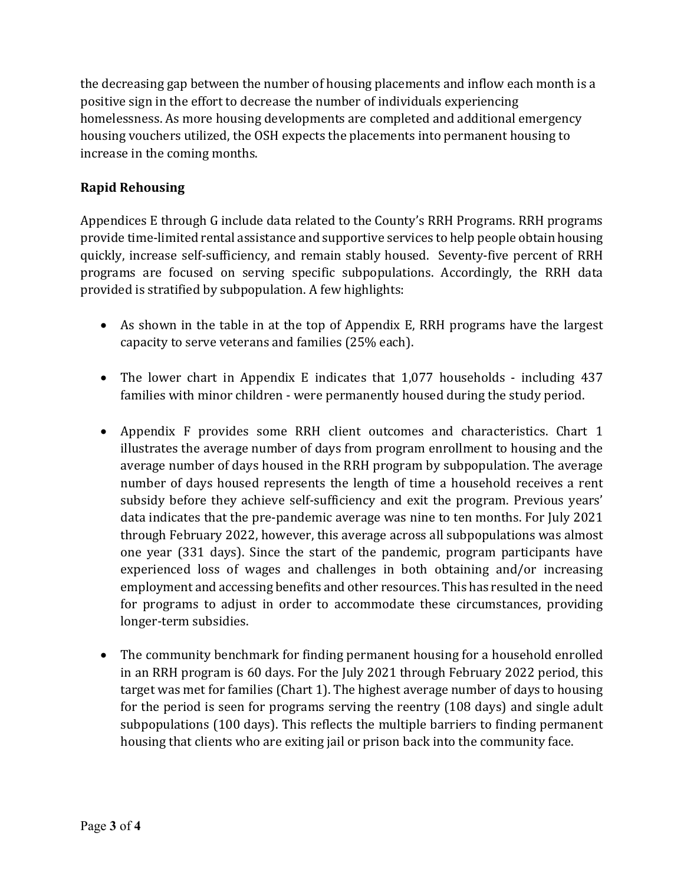the decreasing gap between the number of housing placements and inflow each month is a positive sign in the effort to decrease the number of individuals experiencing homelessness. As more housing developments are completed and additional emergency housing vouchers utilized, the OSH expects the placements into permanent housing to increase in the coming months.

### **Rapid Rehousing**

Appendices E through G include data related to the County's RRH Programs. RRH programs provide time-limited rental assistance and supportive services to help people obtain housing quickly, increase self-sufficiency, and remain stably housed. Seventy-five percent of RRH programs are focused on serving specific subpopulations. Accordingly, the RRH data provided is stratified by subpopulation. A few highlights:

- As shown in the table in at the top of Appendix E, RRH programs have the largest capacity to serve veterans and families (25% each).
- The lower chart in Appendix E indicates that 1,077 households including 437 families with minor children - were permanently housed during the study period.
- Appendix F provides some RRH client outcomes and characteristics. Chart 1 illustrates the average number of days from program enrollment to housing and the average number of days housed in the RRH program by subpopulation. The average number of days housed represents the length of time a household receives a rent subsidy before they achieve self-sufficiency and exit the program. Previous years' data indicates that the pre-pandemic average was nine to ten months. For July 2021 through February 2022, however, this average across all subpopulations was almost one year (331 days). Since the start of the pandemic, program participants have experienced loss of wages and challenges in both obtaining and/or increasing employment and accessing benefits and other resources. This has resulted in the need for programs to adjust in order to accommodate these circumstances, providing longer-term subsidies.
- The community benchmark for finding permanent housing for a household enrolled in an RRH program is 60 days. For the July 2021 through February 2022 period, this target was met for families (Chart 1). The highest average number of days to housing for the period is seen for programs serving the reentry (108 days) and single adult subpopulations (100 days). This reflects the multiple barriers to finding permanent housing that clients who are exiting jail or prison back into the community face.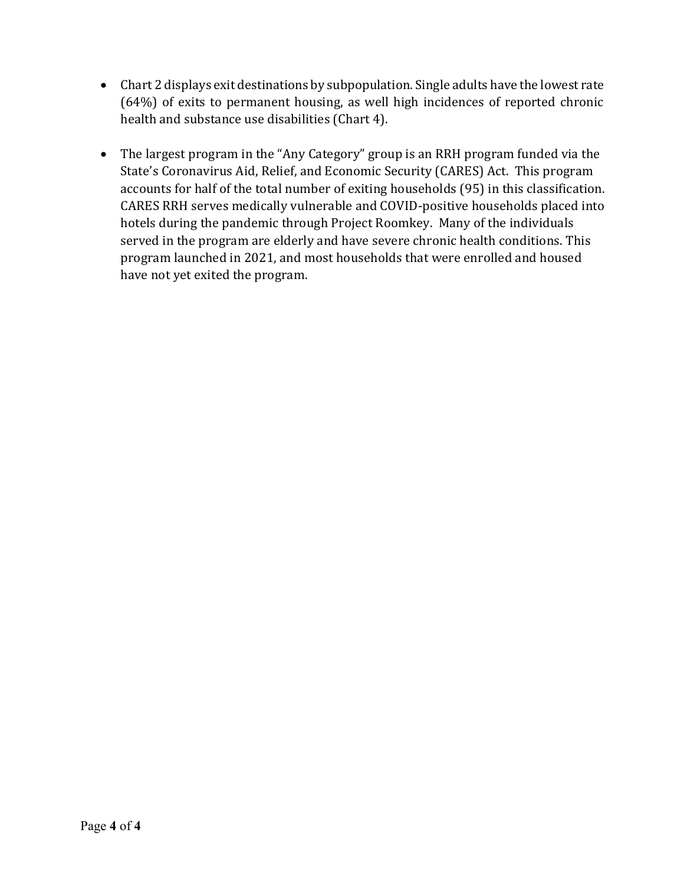- Chart 2 displays exit destinations by subpopulation. Single adults have the lowest rate (64%) of exits to permanent housing, as well high incidences of reported chronic health and substance use disabilities (Chart 4).
- The largest program in the "Any Category" group is an RRH program funded via the State's Coronavirus Aid, Relief, and Economic Security (CARES) Act. This program accounts for half of the total number of exiting households (95) in this classification. CARES RRH serves medically vulnerable and COVID-positive households placed into hotels during the pandemic through Project Roomkey. Many of the individuals served in the program are elderly and have severe chronic health conditions. This program launched in 2021, and most households that were enrolled and housed have not yet exited the program.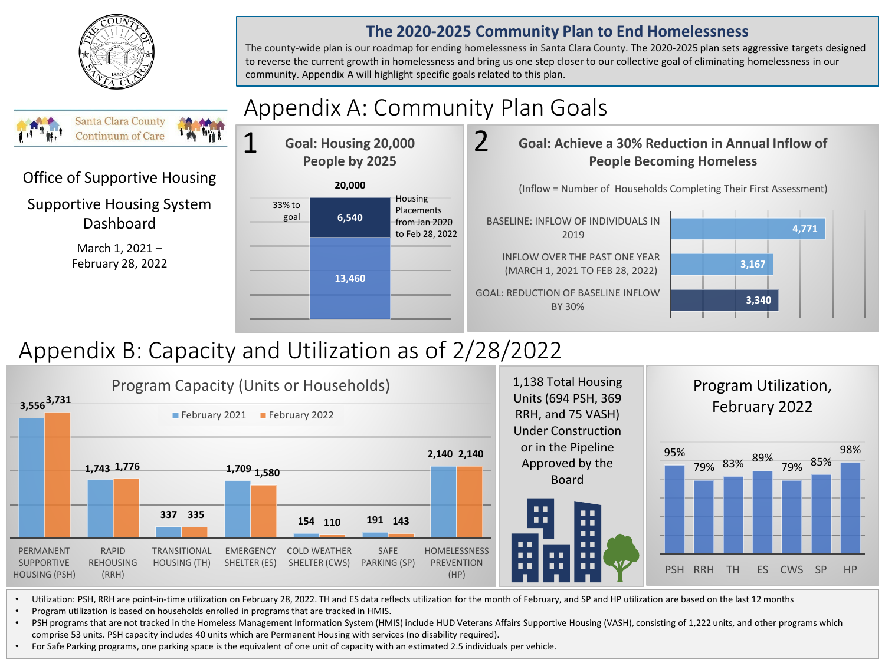

### **The 2020-2025 Community Plan to End Homelessness**

The county-wide plan is our roadmap for ending homelessness in Santa Clara County. The 2020-2025 plan sets aggressive targets designed to reverse the current growth in homelessness and bring us one step closer to our collective goal of eliminating homelessness in our community. Appendix A will highlight specific goals related to this plan.



# Appendix B: Capacity and Utilization as of 2/28/2022



• Utilization: PSH, RRH are point-in-time utilization on February 28, 2022. TH and ES data reflects utilization for the month of February, and SP and HP utilization are based on the last 12 months

• Program utilization is based on households enrolled in programs that are tracked in HMIS.

• PSH programs that are not tracked in the Homeless Management Information System (HMIS) include HUD Veterans Affairs Supportive Housing (VASH), consisting of 1,222 units, and other programs which comprise 53 units. PSH capacity includes 40 units which are Permanent Housing with services (no disability required).

• For Safe Parking programs, one parking space is the equivalent of one unit of capacity with an estimated 2.5 individuals per vehicle.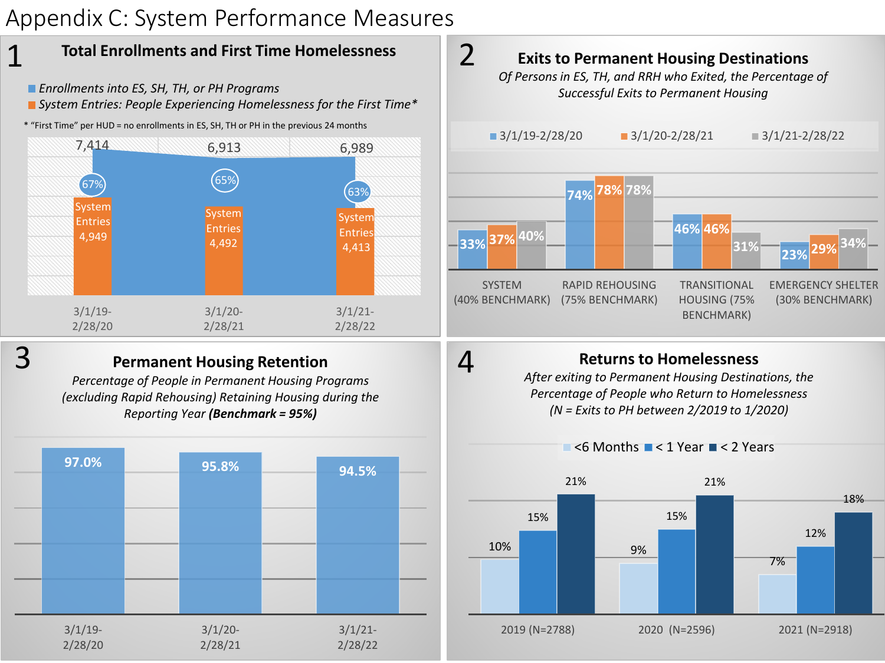# Appendix C: System Performance Measures



- *Enrollments into ES, SH, TH, or PH Programs*
- *System Entries: People Experiencing Homelessness for the First Time\**
- \* "First Time" per HUD = no enrollments in ES, SH, TH or PH in the previous 24 months





1

### **Permanent Housing Retention**

*Percentage of People in Permanent Housing Programs (excluding Rapid Rehousing) Retaining Housing during the Reporting Year (Benchmark = 95%)*





## **Returns to Homelessness**

4

*After exiting to Permanent Housing Destinations, the Percentage of People who Return to Homelessness (N = Exits to PH between 2/2019 to 1/2020)*

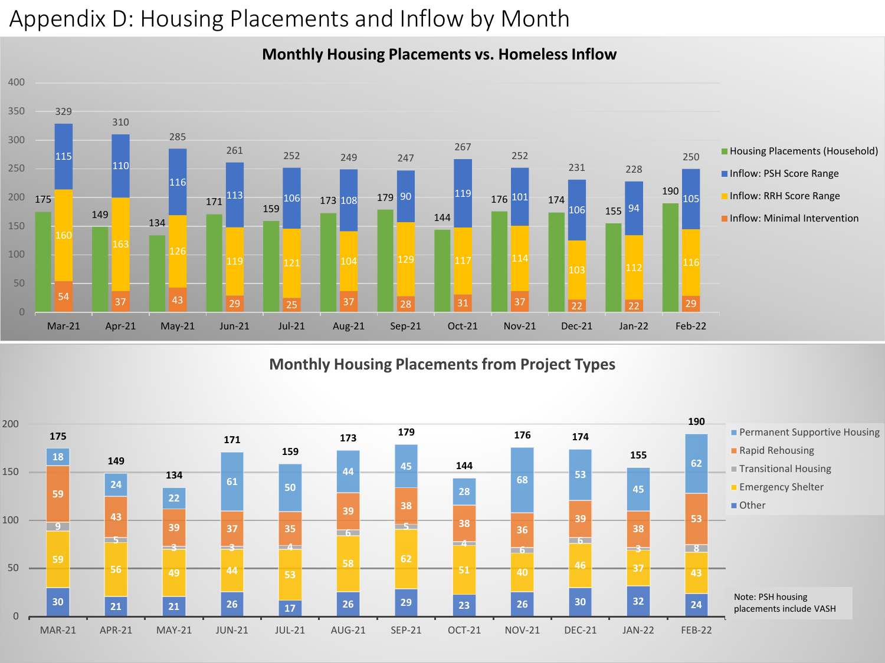# Appendix D: Housing Placements and Inflow by Month



### **Monthly Housing Placements vs. Homeless Inflow**

### **Monthly Housing Placements from Project Types**

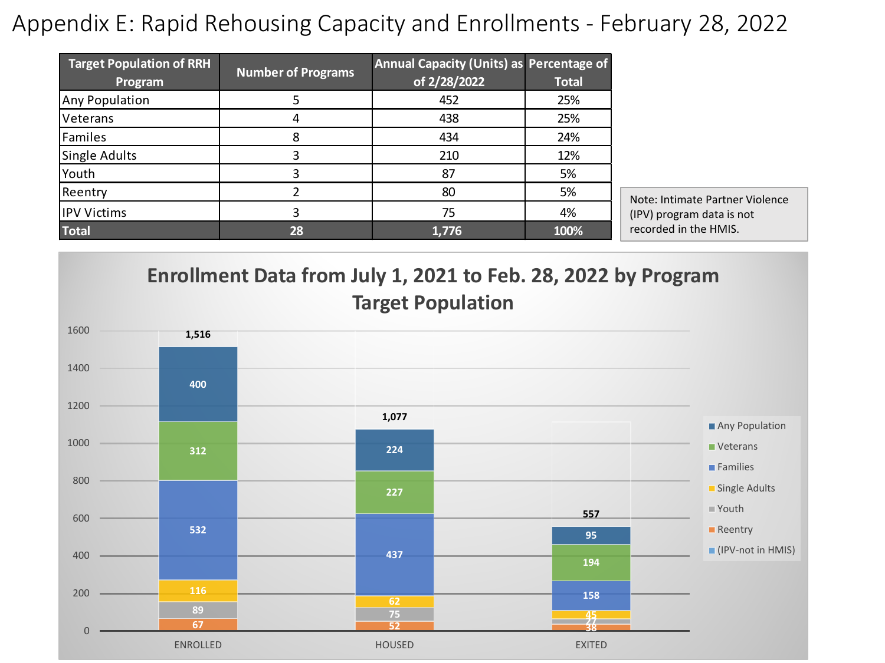## Appendix E: Rapid Rehousing Capacity and Enrollments - February 28, 2022

| <b>Target Population of RRH</b><br>Program | <b>Number of Programs</b> | Annual Capacity (Units) as Percentage of<br>of 2/28/2022 | <b>Total</b> |
|--------------------------------------------|---------------------------|----------------------------------------------------------|--------------|
| Any Population                             |                           | 452                                                      | 25%          |
| Veterans                                   |                           | 438                                                      | 25%          |
| Familes                                    | 8                         | 434                                                      | 24%          |
| <b>Single Adults</b>                       |                           | 210                                                      | 12%          |
| Youth                                      |                           | 87                                                       | 5%           |
| Reentry                                    |                           | 80                                                       | 5%           |
| <b>IPV Victims</b>                         |                           | 75                                                       | 4%           |
| <b>Total</b>                               | 28                        | 1,776                                                    | 100%         |

Note: Intimate Partner Violence (IPV) program data is not recorded in the HMIS.



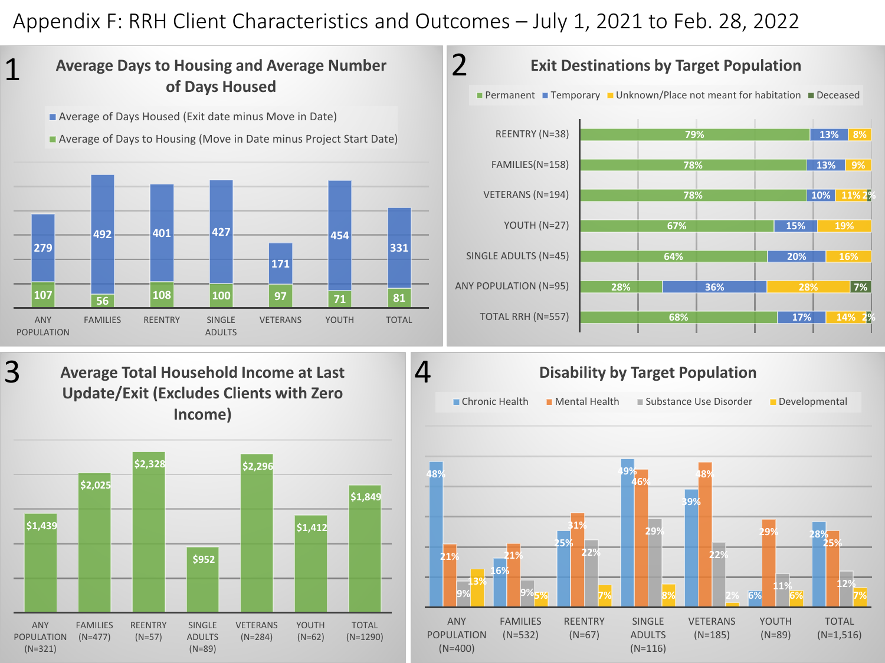## Appendix F: RRH Client Characteristics and Outcomes – July 1, 2021 to Feb. 28, 2022